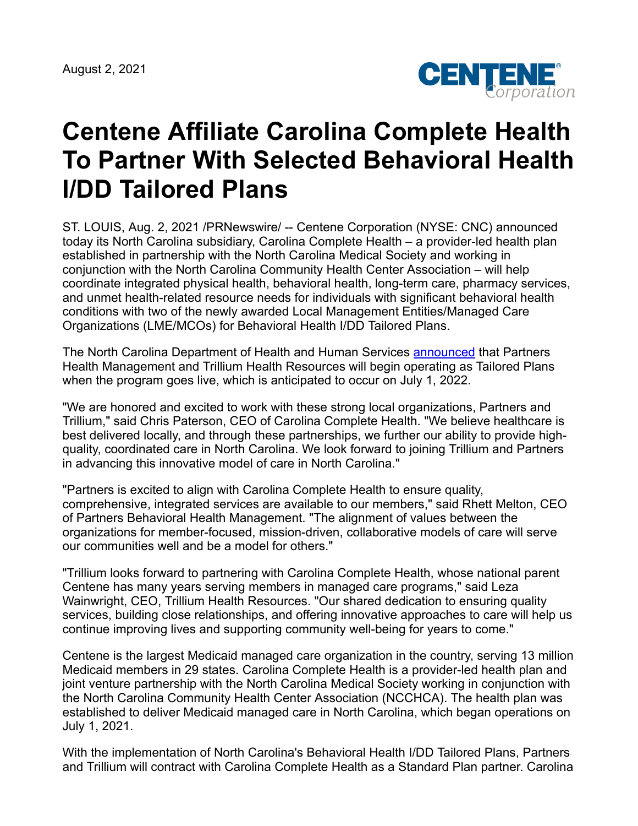August 2, 2021



## **Centene Affiliate Carolina Complete Health To Partner With Selected Behavioral Health I/DD Tailored Plans**

ST. LOUIS, Aug. 2, 2021 /PRNewswire/ -- Centene Corporation (NYSE: CNC) announced today its North Carolina subsidiary, Carolina Complete Health – a provider-led health plan established in partnership with the North Carolina Medical Society and working in conjunction with the North Carolina Community Health Center Association – will help coordinate integrated physical health, behavioral health, long-term care, pharmacy services, and unmet health-related resource needs for individuals with significant behavioral health conditions with two of the newly awarded Local Management Entities/Managed Care Organizations (LME/MCOs) for Behavioral Health I/DD Tailored Plans.

The North Carolina Department of Health and Human Services [announced](https://www.ncdhhs.gov/news/press-releases/2021/07/26/ncdhhs-announces-medicaid-managed-care-regional-behavioral-health-idd-tailored-plans) that Partners Health Management and Trillium Health Resources will begin operating as Tailored Plans when the program goes live, which is anticipated to occur on July 1, 2022.

"We are honored and excited to work with these strong local organizations, Partners and Trillium," said Chris Paterson, CEO of Carolina Complete Health. "We believe healthcare is best delivered locally, and through these partnerships, we further our ability to provide highquality, coordinated care in North Carolina. We look forward to joining Trillium and Partners in advancing this innovative model of care in North Carolina."

"Partners is excited to align with Carolina Complete Health to ensure quality, comprehensive, integrated services are available to our members," said Rhett Melton, CEO of Partners Behavioral Health Management. "The alignment of values between the organizations for member-focused, mission-driven, collaborative models of care will serve our communities well and be a model for others."

"Trillium looks forward to partnering with Carolina Complete Health, whose national parent Centene has many years serving members in managed care programs," said Leza Wainwright, CEO, Trillium Health Resources. "Our shared dedication to ensuring quality services, building close relationships, and offering innovative approaches to care will help us continue improving lives and supporting community well-being for years to come."

Centene is the largest Medicaid managed care organization in the country, serving 13 million Medicaid members in 29 states. Carolina Complete Health is a provider-led health plan and joint venture partnership with the North Carolina Medical Society working in conjunction with the North Carolina Community Health Center Association (NCCHCA). The health plan was established to deliver Medicaid managed care in North Carolina, which began operations on July 1, 2021.

With the implementation of North Carolina's Behavioral Health I/DD Tailored Plans, Partners and Trillium will contract with Carolina Complete Health as a Standard Plan partner. Carolina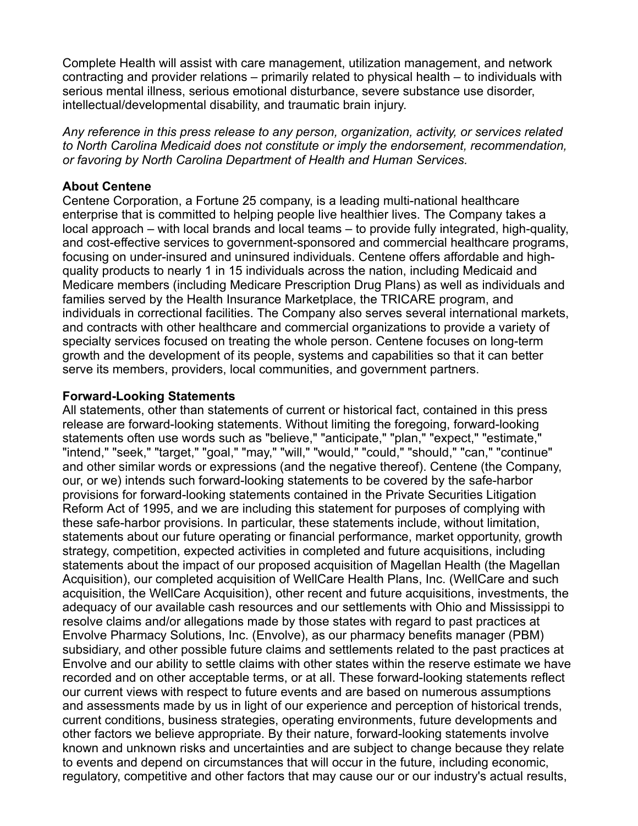Complete Health will assist with care management, utilization management, and network contracting and provider relations – primarily related to physical health – to individuals with serious mental illness, serious emotional disturbance, severe substance use disorder, intellectual/developmental disability, and traumatic brain injury.

*Any reference in this press release to any person, organization, activity, or services related to North Carolina Medicaid does not constitute or imply the endorsement, recommendation, or favoring by North Carolina Department of Health and Human Services.*

## **About Centene**

Centene Corporation, a Fortune 25 company, is a leading multi-national healthcare enterprise that is committed to helping people live healthier lives. The Company takes a local approach – with local brands and local teams – to provide fully integrated, high-quality, and cost-effective services to government-sponsored and commercial healthcare programs, focusing on under-insured and uninsured individuals. Centene offers affordable and highquality products to nearly 1 in 15 individuals across the nation, including Medicaid and Medicare members (including Medicare Prescription Drug Plans) as well as individuals and families served by the Health Insurance Marketplace, the TRICARE program, and individuals in correctional facilities. The Company also serves several international markets, and contracts with other healthcare and commercial organizations to provide a variety of specialty services focused on treating the whole person. Centene focuses on long-term growth and the development of its people, systems and capabilities so that it can better serve its members, providers, local communities, and government partners.

## **Forward-Looking Statements**

All statements, other than statements of current or historical fact, contained in this press release are forward-looking statements. Without limiting the foregoing, forward-looking statements often use words such as "believe," "anticipate," "plan," "expect," "estimate," "intend," "seek," "target," "goal," "may," "will," "would," "could," "should," "can," "continue" and other similar words or expressions (and the negative thereof). Centene (the Company, our, or we) intends such forward-looking statements to be covered by the safe-harbor provisions for forward-looking statements contained in the Private Securities Litigation Reform Act of 1995, and we are including this statement for purposes of complying with these safe-harbor provisions. In particular, these statements include, without limitation, statements about our future operating or financial performance, market opportunity, growth strategy, competition, expected activities in completed and future acquisitions, including statements about the impact of our proposed acquisition of Magellan Health (the Magellan Acquisition), our completed acquisition of WellCare Health Plans, Inc. (WellCare and such acquisition, the WellCare Acquisition), other recent and future acquisitions, investments, the adequacy of our available cash resources and our settlements with Ohio and Mississippi to resolve claims and/or allegations made by those states with regard to past practices at Envolve Pharmacy Solutions, Inc. (Envolve), as our pharmacy benefits manager (PBM) subsidiary, and other possible future claims and settlements related to the past practices at Envolve and our ability to settle claims with other states within the reserve estimate we have recorded and on other acceptable terms, or at all. These forward-looking statements reflect our current views with respect to future events and are based on numerous assumptions and assessments made by us in light of our experience and perception of historical trends, current conditions, business strategies, operating environments, future developments and other factors we believe appropriate. By their nature, forward-looking statements involve known and unknown risks and uncertainties and are subject to change because they relate to events and depend on circumstances that will occur in the future, including economic, regulatory, competitive and other factors that may cause our or our industry's actual results,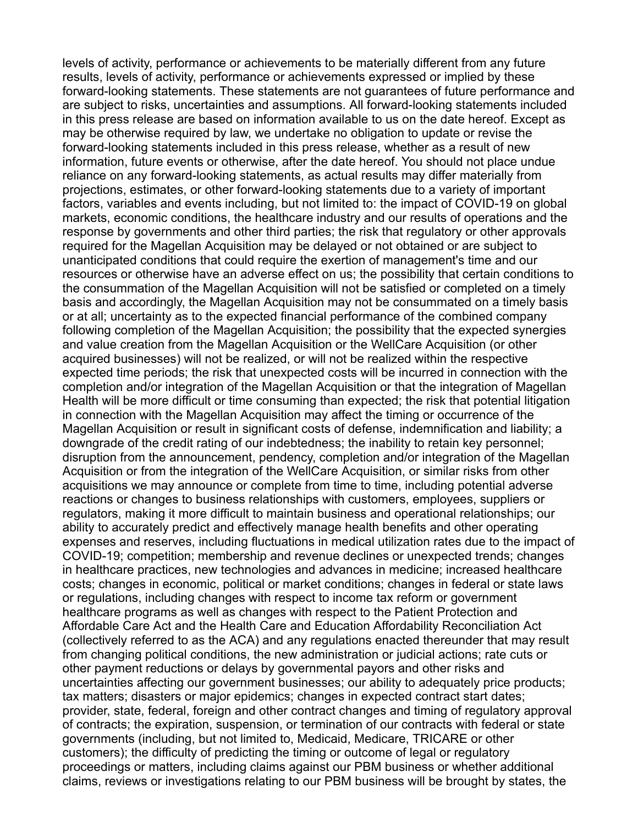levels of activity, performance or achievements to be materially different from any future results, levels of activity, performance or achievements expressed or implied by these forward-looking statements. These statements are not guarantees of future performance and are subject to risks, uncertainties and assumptions. All forward-looking statements included in this press release are based on information available to us on the date hereof. Except as may be otherwise required by law, we undertake no obligation to update or revise the forward-looking statements included in this press release, whether as a result of new information, future events or otherwise, after the date hereof. You should not place undue reliance on any forward-looking statements, as actual results may differ materially from projections, estimates, or other forward-looking statements due to a variety of important factors, variables and events including, but not limited to: the impact of COVID-19 on global markets, economic conditions, the healthcare industry and our results of operations and the response by governments and other third parties; the risk that regulatory or other approvals required for the Magellan Acquisition may be delayed or not obtained or are subject to unanticipated conditions that could require the exertion of management's time and our resources or otherwise have an adverse effect on us; the possibility that certain conditions to the consummation of the Magellan Acquisition will not be satisfied or completed on a timely basis and accordingly, the Magellan Acquisition may not be consummated on a timely basis or at all; uncertainty as to the expected financial performance of the combined company following completion of the Magellan Acquisition; the possibility that the expected synergies and value creation from the Magellan Acquisition or the WellCare Acquisition (or other acquired businesses) will not be realized, or will not be realized within the respective expected time periods; the risk that unexpected costs will be incurred in connection with the completion and/or integration of the Magellan Acquisition or that the integration of Magellan Health will be more difficult or time consuming than expected; the risk that potential litigation in connection with the Magellan Acquisition may affect the timing or occurrence of the Magellan Acquisition or result in significant costs of defense, indemnification and liability; a downgrade of the credit rating of our indebtedness; the inability to retain key personnel; disruption from the announcement, pendency, completion and/or integration of the Magellan Acquisition or from the integration of the WellCare Acquisition, or similar risks from other acquisitions we may announce or complete from time to time, including potential adverse reactions or changes to business relationships with customers, employees, suppliers or regulators, making it more difficult to maintain business and operational relationships; our ability to accurately predict and effectively manage health benefits and other operating expenses and reserves, including fluctuations in medical utilization rates due to the impact of COVID-19; competition; membership and revenue declines or unexpected trends; changes in healthcare practices, new technologies and advances in medicine; increased healthcare costs; changes in economic, political or market conditions; changes in federal or state laws or regulations, including changes with respect to income tax reform or government healthcare programs as well as changes with respect to the Patient Protection and Affordable Care Act and the Health Care and Education Affordability Reconciliation Act (collectively referred to as the ACA) and any regulations enacted thereunder that may result from changing political conditions, the new administration or judicial actions; rate cuts or other payment reductions or delays by governmental payors and other risks and uncertainties affecting our government businesses; our ability to adequately price products; tax matters; disasters or major epidemics; changes in expected contract start dates; provider, state, federal, foreign and other contract changes and timing of regulatory approval of contracts; the expiration, suspension, or termination of our contracts with federal or state governments (including, but not limited to, Medicaid, Medicare, TRICARE or other customers); the difficulty of predicting the timing or outcome of legal or regulatory proceedings or matters, including claims against our PBM business or whether additional claims, reviews or investigations relating to our PBM business will be brought by states, the